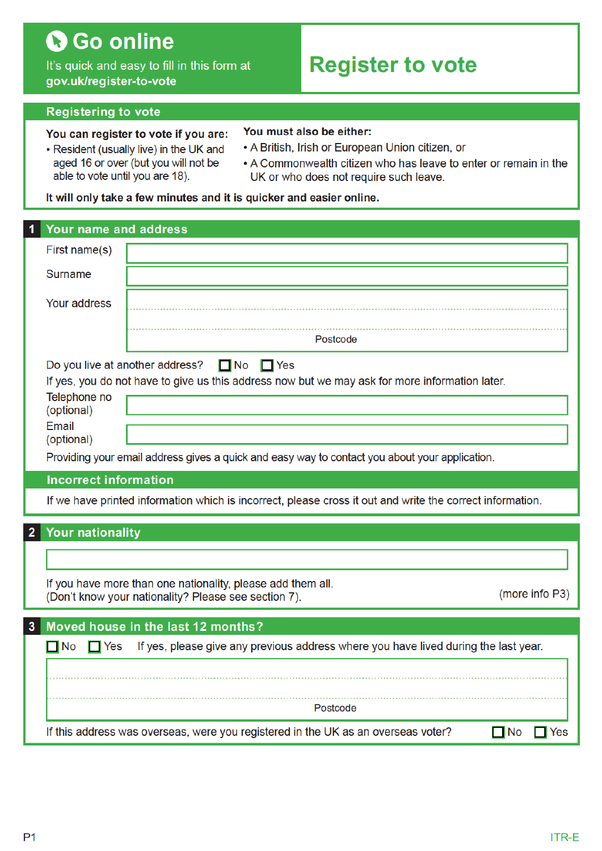# **G**Go online

It's quick and easy to fill in this form at gov.uk/register-to-vote

## Register to vote

#### Registering to vote

#### You can register to vote if you are:

- Resident (usually live) in the UK and aged 16 or over (but you will not be able to vote until you are 18).
- You must also be either:
- A British, Irish or European Union citizen, or
- A Commonwealth citizen who has leave to enter or remain in the UK or who does not require such leave.

#### It will only take a few minutes and it is quicker and easier online.

| Your name and address                                                                |                                                                                                                                                                                                                             |
|--------------------------------------------------------------------------------------|-----------------------------------------------------------------------------------------------------------------------------------------------------------------------------------------------------------------------------|
| First name(s)                                                                        |                                                                                                                                                                                                                             |
| <b>Surname</b>                                                                       |                                                                                                                                                                                                                             |
| Your address                                                                         |                                                                                                                                                                                                                             |
|                                                                                      | Postcode                                                                                                                                                                                                                    |
| Do you live at another address?<br>Telephone no<br>(optional)<br>Email<br>(optional) | $\Box$ No<br>$\Box$ Yes<br>If yes, you do not have to give us this address now but we may ask for more information later.<br>Providing your email address gives a quick and easy way to contact you about your application. |
| <b>Incorrect information</b>                                                         |                                                                                                                                                                                                                             |
|                                                                                      | If we have printed information which is incorrect, please cross it out and write the correct information.                                                                                                                   |
| <b>Your nationality</b>                                                              |                                                                                                                                                                                                                             |
|                                                                                      |                                                                                                                                                                                                                             |
|                                                                                      | If you have more than one nationality, please add them all.<br>(more info P3)<br>(Don't know your nationality? Please see section 7).                                                                                       |
| 3                                                                                    | Moved house in the last 12 months?                                                                                                                                                                                          |
| $\Box$ No<br>$\Box$ Yes                                                              | If yes, please give any previous address where you have lived during the last year.                                                                                                                                         |
|                                                                                      | Postcode                                                                                                                                                                                                                    |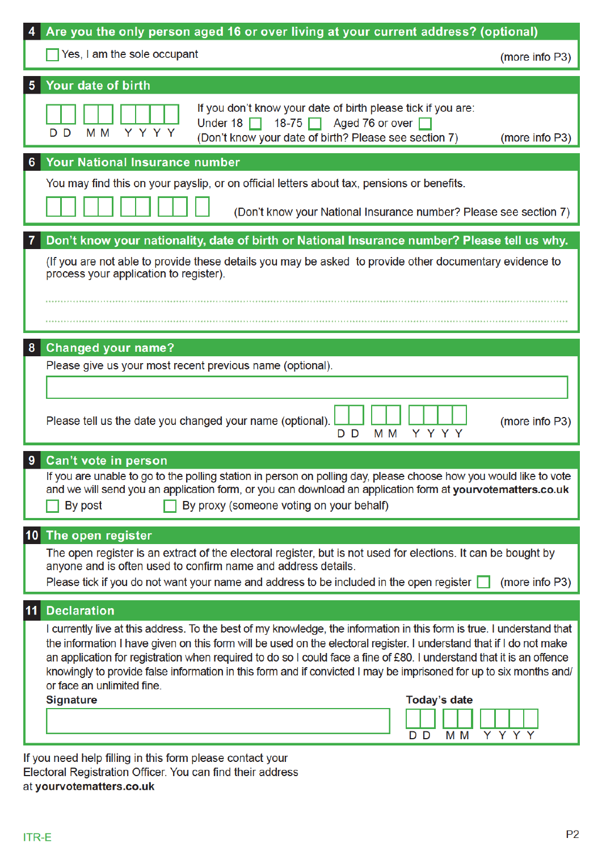| Are you the only person aged 16 or over living at your current address? (optional)                                                                                                                                                                                                                                                                                                                                                                                                                                          |                |  |
|-----------------------------------------------------------------------------------------------------------------------------------------------------------------------------------------------------------------------------------------------------------------------------------------------------------------------------------------------------------------------------------------------------------------------------------------------------------------------------------------------------------------------------|----------------|--|
| $\sqrt{\ }$ Yes, I am the sole occupant                                                                                                                                                                                                                                                                                                                                                                                                                                                                                     | (more info P3) |  |
| Your date of birth<br>5                                                                                                                                                                                                                                                                                                                                                                                                                                                                                                     |                |  |
| If you don't know your date of birth please tick if you are:<br>Under 18 $\Box$ 18-75 $\Box$ Aged 76 or over $\Box$<br>Y Y Y Y<br>M <sub>M</sub><br>D D<br>(Don't know your date of birth? Please see section 7)                                                                                                                                                                                                                                                                                                            | (more info P3) |  |
| <b>Your National Insurance number</b><br>6                                                                                                                                                                                                                                                                                                                                                                                                                                                                                  |                |  |
| You may find this on your payslip, or on official letters about tax, pensions or benefits.                                                                                                                                                                                                                                                                                                                                                                                                                                  |                |  |
| (Don't know your National Insurance number? Please see section 7)                                                                                                                                                                                                                                                                                                                                                                                                                                                           |                |  |
| Don't know your nationality, date of birth or National Insurance number? Please tell us why.                                                                                                                                                                                                                                                                                                                                                                                                                                |                |  |
| (If you are not able to provide these details you may be asked to provide other documentary evidence to<br>process your application to register).                                                                                                                                                                                                                                                                                                                                                                           |                |  |
|                                                                                                                                                                                                                                                                                                                                                                                                                                                                                                                             |                |  |
|                                                                                                                                                                                                                                                                                                                                                                                                                                                                                                                             |                |  |
| <b>Changed your name?</b><br>8                                                                                                                                                                                                                                                                                                                                                                                                                                                                                              |                |  |
| Please give us your most recent previous name (optional).                                                                                                                                                                                                                                                                                                                                                                                                                                                                   |                |  |
|                                                                                                                                                                                                                                                                                                                                                                                                                                                                                                                             |                |  |
| Please tell us the date you changed your name (optional).<br>Y Y Y Y<br>M <sub>M</sub><br>D D                                                                                                                                                                                                                                                                                                                                                                                                                               | (more info P3) |  |
| Can't vote in person<br>9                                                                                                                                                                                                                                                                                                                                                                                                                                                                                                   |                |  |
| If you are unable to go to the polling station in person on polling day, please choose how you would like to vote<br>and we will send you an application form, or you can download an application form at yourvotematters.co.uk<br>By proxy (someone voting on your behalf)<br>By post                                                                                                                                                                                                                                      |                |  |
| The open register<br>10 <sub>1</sub>                                                                                                                                                                                                                                                                                                                                                                                                                                                                                        |                |  |
| The open register is an extract of the electoral register, but is not used for elections. It can be bought by                                                                                                                                                                                                                                                                                                                                                                                                               |                |  |
| anyone and is often used to confirm name and address details.                                                                                                                                                                                                                                                                                                                                                                                                                                                               |                |  |
| Please tick if you do not want your name and address to be included in the open register $\Box$                                                                                                                                                                                                                                                                                                                                                                                                                             | (more info P3) |  |
| <b>Declaration</b><br>11                                                                                                                                                                                                                                                                                                                                                                                                                                                                                                    |                |  |
| I currently live at this address. To the best of my knowledge, the information in this form is true. I understand that<br>the information I have given on this form will be used on the electoral register. I understand that if I do not make<br>an application for registration when required to do so I could face a fine of £80. I understand that it is an offence<br>knowingly to provide false information in this form and if convicted I may be imprisoned for up to six months and/<br>or face an unlimited fine. |                |  |
| <b>Signature</b><br><b>Today's date</b>                                                                                                                                                                                                                                                                                                                                                                                                                                                                                     |                |  |
| M <sub>M</sub><br>D D.                                                                                                                                                                                                                                                                                                                                                                                                                                                                                                      | Y Y Y Y        |  |
| If you need help filling in this form please contact your                                                                                                                                                                                                                                                                                                                                                                                                                                                                   |                |  |

Electoral Registration Officer. You can find their address at yourvotematters.co.uk